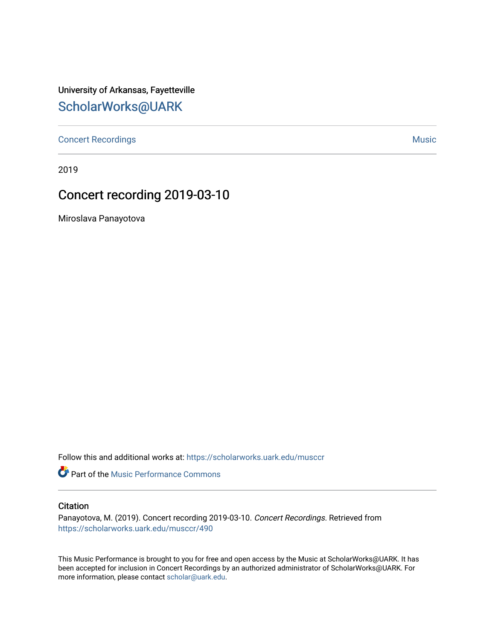University of Arkansas, Fayetteville [ScholarWorks@UARK](https://scholarworks.uark.edu/) 

[Concert Recordings](https://scholarworks.uark.edu/musccr) [Music](https://scholarworks.uark.edu/musc) Network and Security Assembly and Security Assembly Assembly Assembly Assembly Assembly

2019

## Concert recording 2019-03-10

Miroslava Panayotova

Follow this and additional works at: [https://scholarworks.uark.edu/musccr](https://scholarworks.uark.edu/musccr?utm_source=scholarworks.uark.edu%2Fmusccr%2F490&utm_medium=PDF&utm_campaign=PDFCoverPages) 

Part of the [Music Performance Commons](http://network.bepress.com/hgg/discipline/1128?utm_source=scholarworks.uark.edu%2Fmusccr%2F490&utm_medium=PDF&utm_campaign=PDFCoverPages)

## **Citation**

Panayotova, M. (2019). Concert recording 2019-03-10. Concert Recordings. Retrieved from [https://scholarworks.uark.edu/musccr/490](https://scholarworks.uark.edu/musccr/490?utm_source=scholarworks.uark.edu%2Fmusccr%2F490&utm_medium=PDF&utm_campaign=PDFCoverPages) 

This Music Performance is brought to you for free and open access by the Music at ScholarWorks@UARK. It has been accepted for inclusion in Concert Recordings by an authorized administrator of ScholarWorks@UARK. For more information, please contact [scholar@uark.edu.](mailto:scholar@uark.edu)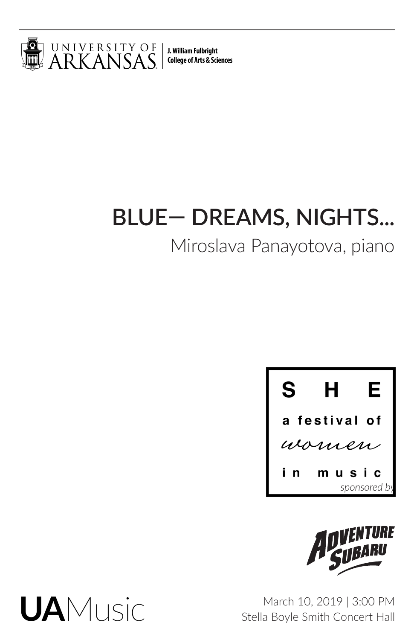

J. William Fulbright **College of Arts & Sciences** 

# **BLUE— DREAMS, NIGHTS...**

## Miroslava Panayotova, piano





March 10, 2019 | 3:00 PM Stella Boyle Smith Concert Hall

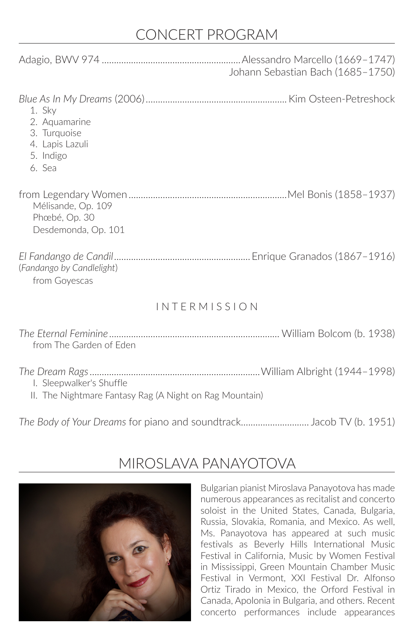## CONCERT PROGRAM

|                                                                                   | Johann Sebastian Bach (1685-1750) |
|-----------------------------------------------------------------------------------|-----------------------------------|
| 1. Sky<br>2. Aquamarine<br>3. Turquoise<br>4. Lapis Lazuli<br>5. Indigo<br>6. Sea |                                   |
| Mélisande, Op. 109<br>Phœbé, Op. 30<br>Desdemonda, Op. 101                        |                                   |
| (Fandango by Candlelight)<br>from Goyescas                                        |                                   |
| <b>INTERMISSION</b>                                                               |                                   |
| from The Garden of Eden                                                           |                                   |
|                                                                                   |                                   |

- *The Dream Rags*......................................................................William Albright (1944–1998) I. Sleepwalker's Shuffle
	- II. The Nightmare Fantasy Rag (A Night on Rag Mountain)

*The Body of Your Dreams* for piano and soundtrack............................ Jacob TV (b. 1951)



## MIROSLAVA PANAYOTOVA

Bulgarian pianist Miroslava Panayotova has made numerous appearances as recitalist and concerto soloist in the United States, Canada, Bulgaria, Russia, Slovakia, Romania, and Mexico. As well, Ms. Panayotova has appeared at such music festivals as Beverly Hills International Music Festival in California, Music by Women Festival in Mississippi, Green Mountain Chamber Music Festival in Vermont, XXI Festival Dr. Alfonso Ortiz Tirado in Mexico, the Orford Festival in Canada, Apolonia in Bulgaria, and others. Recent concerto performances include appearances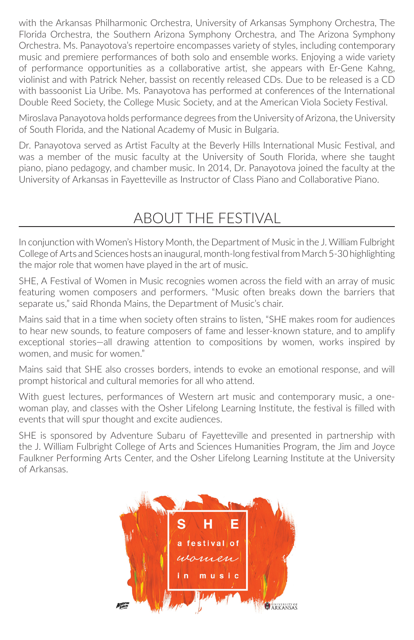with the Arkansas Philharmonic Orchestra, University of Arkansas Symphony Orchestra, The Florida Orchestra, the Southern Arizona Symphony Orchestra, and The Arizona Symphony Orchestra. Ms. Panayotova's repertoire encompasses variety of styles, including contemporary music and premiere performances of both solo and ensemble works. Enjoying a wide variety of performance opportunities as a collaborative artist, she appears with Er-Gene Kahng, violinist and with Patrick Neher, bassist on recently released CDs. Due to be released is a CD with bassoonist Lia Uribe. Ms. Panayotova has performed at conferences of the International Double Reed Society, the College Music Society, and at the American Viola Society Festival.

Miroslava Panayotova holds performance degrees from the University of Arizona, the University of South Florida, and the National Academy of Music in Bulgaria.

Dr. Panayotova served as Artist Faculty at the Beverly Hills International Music Festival, and was a member of the music faculty at the University of South Florida, where she taught piano, piano pedagogy, and chamber music. In 2014, Dr. Panayotova joined the faculty at the University of Arkansas in Fayetteville as Instructor of Class Piano and Collaborative Piano.

## ABOUT THE FESTIVAL

In conjunction with Women's History Month, the Department of Music in the J. William Fulbright College of Arts and Sciences hosts an inaugural, month-long festival from March 5-30 highlighting the major role that women have played in the art of music.

SHE, A Festival of Women in Music recognies women across the field with an array of music featuring women composers and performers. "Music often breaks down the barriers that separate us," said Rhonda Mains, the Department of Music's chair.

Mains said that in a time when society often strains to listen, "SHE makes room for audiences to hear new sounds, to feature composers of fame and lesser-known stature, and to amplify exceptional stories—all drawing attention to compositions by women, works inspired by women, and music for women."

Mains said that SHE also crosses borders, intends to evoke an emotional response, and will prompt historical and cultural memories for all who attend.

With guest lectures, performances of Western art music and contemporary music, a onewoman play, and classes with the Osher Lifelong Learning Institute, the festival is filled with events that will spur thought and excite audiences.

SHE is sponsored by Adventure Subaru of Fayetteville and presented in partnership with the J. William Fulbright College of Arts and Sciences Humanities Program, the Jim and Joyce Faulkner Performing Arts Center, and the Osher Lifelong Learning Institute at the University of Arkansas.